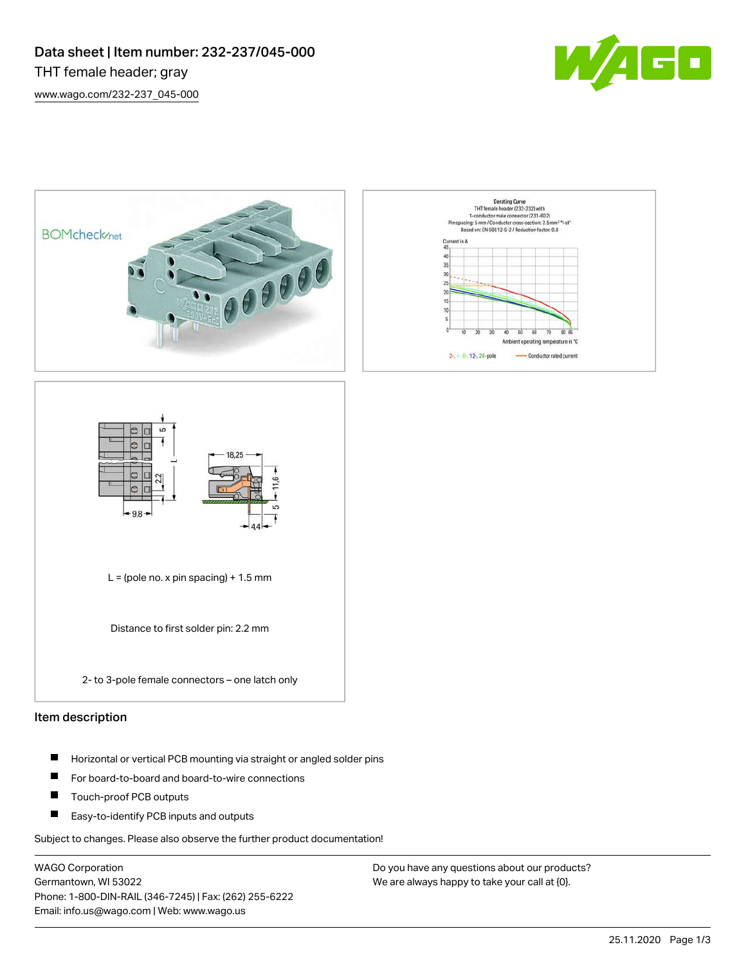



2- to 3-pole female connectors – one latch only

# Item description

- $\blacksquare$ Horizontal or vertical PCB mounting via straight or angled solder pins
- $\blacksquare$ For board-to-board and board-to-wire connections
- $\blacksquare$ Touch-proof PCB outputs
- Easy-to-identify PCB inputs and outputs

Subject to changes. Please also observe the further product documentation!

WAGO Corporation Germantown, WI 53022 Phone: 1-800-DIN-RAIL (346-7245) | Fax: (262) 255-6222 Email: info.us@wago.com | Web: www.wago.us

Do you have any questions about our products? We are always happy to take your call at {0}.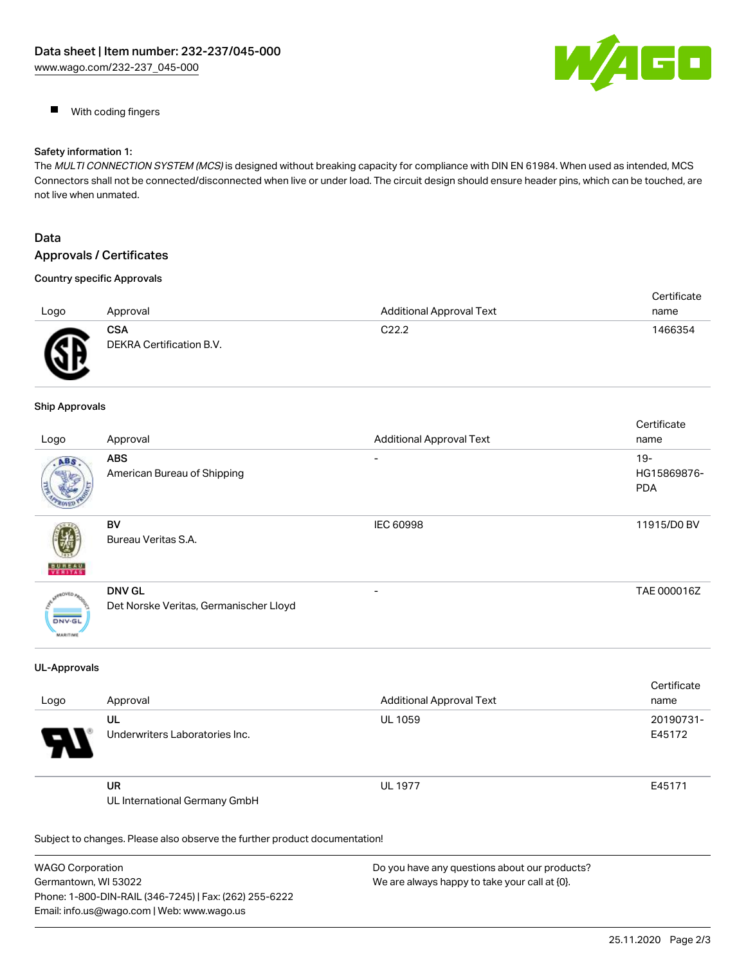

 $\blacksquare$ With coding fingers

## Safety information 1:

The MULTI CONNECTION SYSTEM (MCS) is designed without breaking capacity for compliance with DIN EN 61984. When used as intended, MCS Connectors shall not be connected/disconnected when live or under load. The circuit design should ensure header pins, which can be touched, are not live when unmated.

# Data Approvals / Certificates

# Country specific Approvals

| Logo           | Approval                               | <b>Additional Approval Text</b> | Certificate<br>name |
|----------------|----------------------------------------|---------------------------------|---------------------|
| <b>GF</b><br>₩ | <b>CSA</b><br>DEKRA Certification B.V. | C <sub>22.2</sub>               | 1466354             |

## Ship Approvals

|                                            |                                        |                                 | Certificate |
|--------------------------------------------|----------------------------------------|---------------------------------|-------------|
| Logo                                       | Approval                               | <b>Additional Approval Text</b> | name        |
| ABS.                                       | <b>ABS</b>                             |                                 | $19-$       |
|                                            | American Bureau of Shipping            |                                 | HG15869876- |
|                                            |                                        |                                 | <b>PDA</b>  |
|                                            |                                        |                                 |             |
|                                            | BV                                     | <b>IEC 60998</b>                | 11915/D0 BV |
|                                            | Bureau Veritas S.A.                    |                                 |             |
|                                            |                                        |                                 |             |
| <b>BUREAU</b>                              |                                        |                                 |             |
| aOVED.<br><b>DNV-GL</b><br><b>MARITIME</b> | <b>DNV GL</b>                          | $\overline{\phantom{0}}$        | TAE 000016Z |
|                                            | Det Norske Veritas, Germanischer Lloyd |                                 |             |
|                                            |                                        |                                 |             |
|                                            |                                        |                                 |             |

#### UL-Approvals

| Logo | Approval                             | <b>Additional Approval Text</b> | <b>VELUITUALE</b><br>name |
|------|--------------------------------------|---------------------------------|---------------------------|
| 9.   | UL<br>Underwriters Laboratories Inc. | <b>UL 1059</b>                  | 20190731-<br>E45172       |
|      | UR<br>UL International Germany GmbH  | <b>UL 1977</b>                  | E45171                    |

Subject to changes. Please also observe the further product documentation!

| <b>WAGO Corporation</b>                                | Do you have any questions about our products? |
|--------------------------------------------------------|-----------------------------------------------|
| Germantown, WI 53022                                   | We are always happy to take your call at {0}. |
| Phone: 1-800-DIN-RAIL (346-7245)   Fax: (262) 255-6222 |                                               |
| Email: info.us@wago.com   Web: www.wago.us             |                                               |

Cortificato